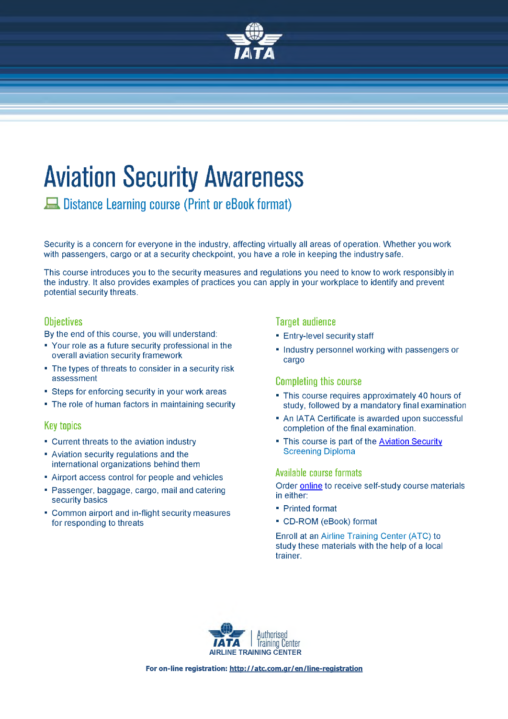

# **Aviation Security Awareness**

**Λ Distance Learning course (Print or eBook form at)**

Security is a concern for everyone in the industry, affecting virtually all areas of operation. Whether you work with passengers, cargo or at a security checkpoint, you have a role in keeping the industry safe.

This course introduces you to the security measures and regulations you need to know to work responsibly in the industry. It also provides examples of practices you can apply in your workplace to identify and prevent potential security threats.

# **Objectives**

By the end of this course, you will understand:

- Your role as a future security professional in the overall aviation security framework
- The types of threats to consider in a security risk assessment
- Steps for enforcing security in your work areas
- The role of human factors in maintaining security

# **Key topics**

- Current threats to the aviation industry
- Aviation security regulations and the international organizations behind them
- Airport access control for people and vehicles
- Passenger, baggage, cargo, mail and catering security basics
- Common airport and in-flight security measures for responding to threats

# **Target audience**

- Entry-level security staff
- Industry personnel working with passengers or cargo

# **Com pleting this course**

- This course requires approximately 40 hours of study, followed by a mandatory final examination
- An IATA Certificate is awarded upon successful completion of the final examination.
- This course is part of the Aviation Security [Screening Diploma](http://atc.com.gr/en/line-registration)

#### **Available course formats**

Order [online t](http://atc.com.gr/en/line-registration)o receive self-study course materials in either:

- Printed format
- CD-ROM (eBook) format

Enroll at an Airline Training Center (ATC) to study these materials with the help of a local trainer.



**For on-line registration: <http://atc.com.ar/en/line-reaistration>**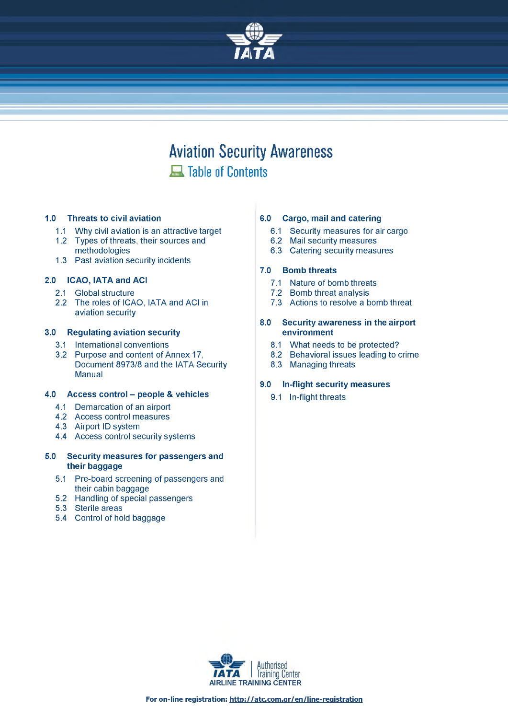

# **Aviation Security Awareness A Table of Contents**

#### **1.0 Threats to civil aviation**

- 1.1 Why civil aviation is an attractive target
- 1.2 Types of threats, their sources and methodologies
- 1.3 Past aviation security incidents

#### **2.0 ICAO, IATA and ACI**

- 2.1 Global structure
- 2.2 The roles of ICAO, IATA and ACI in aviation security

#### **3.0 Regulating aviation security**

- 3.1 International conventions
- 3.2 Purpose and content of Annex 17, Document 8973/8 and the IATA Security Manual

#### **4.0 Access control - people & vehicles**

- 4.1 Demarcation of an airport
- 4.2 Access control measures
- 4.3 Airport ID system
- 4.4 Access control security systems

#### **5.0 Security measures for passengers and their baggage**

- 5.1 Pre-board screening of passengers and their cabin baggage
- 5.2 Handling of special passengers
- 5.3 Sterile areas
- 5.4 Control of hold baggage

#### **6.0 Cargo, mail and catering**

- 6.1 Security measures for air cargo
- 6.2 Mail security measures
- 6.3 Catering security measures

#### **7.0 Bomb threats**

- 7.1 Nature of bomb threats
- 7.2 Bomb threat analysis
- 7.3 Actions to resolve a bomb threat

#### **8.0 Security awareness in the airport environment**

- 8.1 What needs to be protected?
- 8.2 Behavioral issues leading to crime
- 8.3 Managing threats

#### **9.0 In-flight security measures**

9.1 In-flight threats